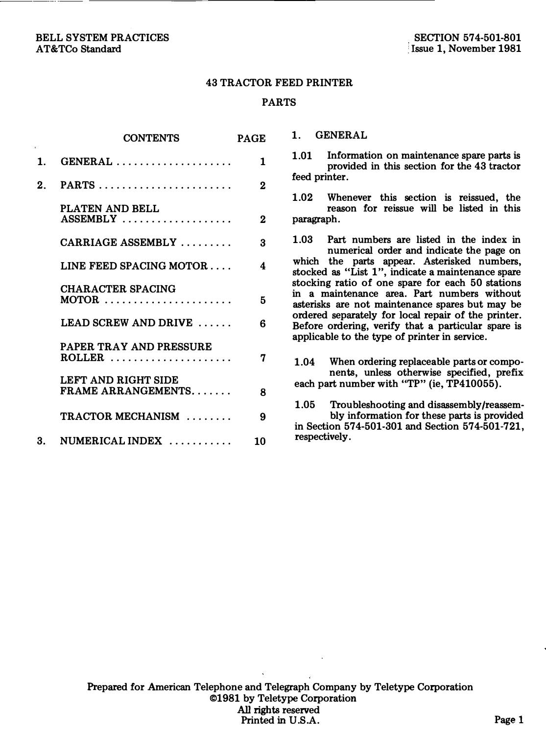#### BELL SYSTEM PRACTICES AT&TCo Standard

### 43 TRACTOR FEED PRINTER

## PARTS

|         | <b>CONTENTS</b>                                                               | <b>PAGE</b> |
|---------|-------------------------------------------------------------------------------|-------------|
| 1.      | $GENERAL \ldots \ldots \ldots \ldots \ldots \ldots$                           | 1           |
| $2_{-}$ |                                                                               | $\bf{2}$    |
|         | PLATEN AND BELL<br>$ASSEMBLY$                                                 | $\bf{2}$    |
|         | CARRIAGE ASSEMBLY                                                             | 3           |
|         | LINE FEED SPACING MOTOR                                                       | 4           |
|         | <b>CHARACTER SPACING</b><br>$MOTOR$                                           | 5           |
|         | LEAD SCREW AND DRIVE $\ldots$                                                 | 6           |
|         | PAPER TRAY AND PRESSURE<br>ROLLER $\ldots \ldots \ldots \ldots \ldots \ldots$ | 7           |
|         | LEFT AND RIGHT SIDE<br><b>FRAME ARRANGEMENTS</b>                              | 8           |
|         | TRACTOR MECHANISM                                                             | g           |
|         | 3. NUMERICAL INDEX $\ldots$                                                   | 10          |

1. GENERAL

1.01 Information on maintenance spare parts is provided in this section for the 43 tractor feed printer.

1.02 Whenever this section is reissued, the reason for reissue will be listed in this paragraph.

1.03 Part numbers are listed in the index in numerical order and indicate the page on which the parts appear. Asterisked numbers, stocked as "List 1", indicate a maintenance spare stocking ratio of one spare for each 50 stations in a maintenance area. Part numbers without asterisks are not maintenance spares but may be ordered separately for local repair of the printer. Before ordering, verify that a particular spare is applicable to the type of printer in service.

1.04 When ordering replaceable parts or components, unless otherwise specified, prefix each part number with "TP" (ie, TP410055).

1.05 Troubleshooting and disassembly/reassembly information for these parts is provided in Section 574-501-301 and Section 574-501-721, respectively.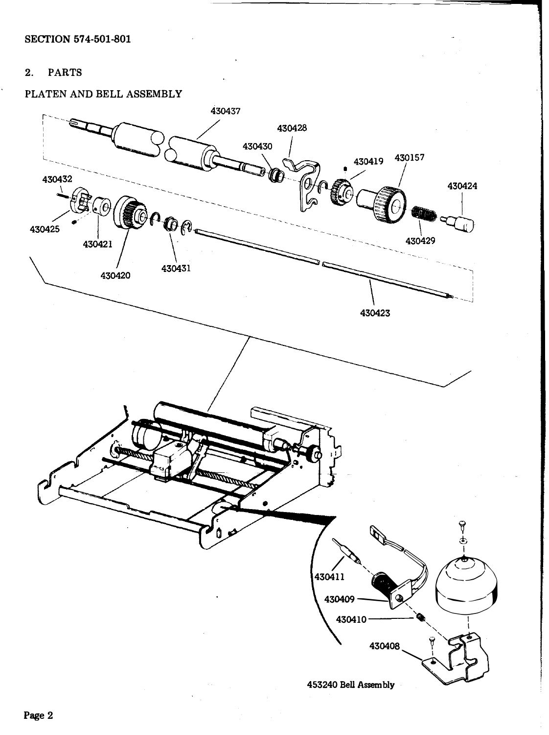#### $2.$ **PARTS**

# PLATEN AND BELL ASSEMBLY

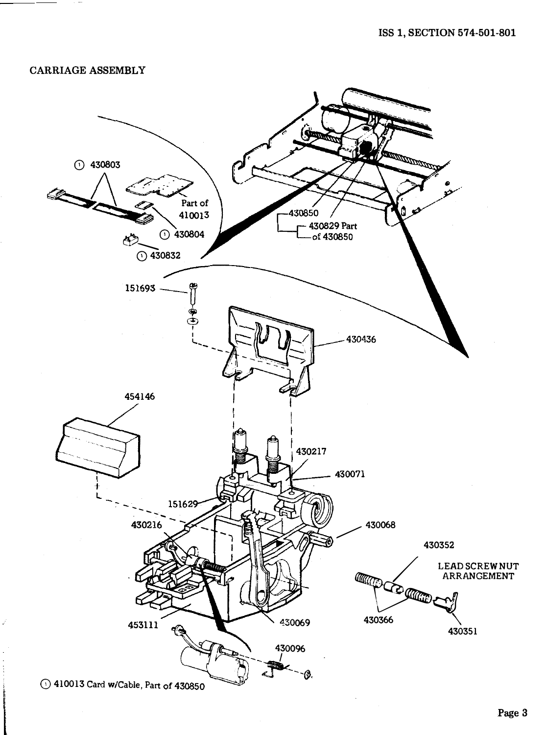## **CARRIAGE ASSEMBLY**

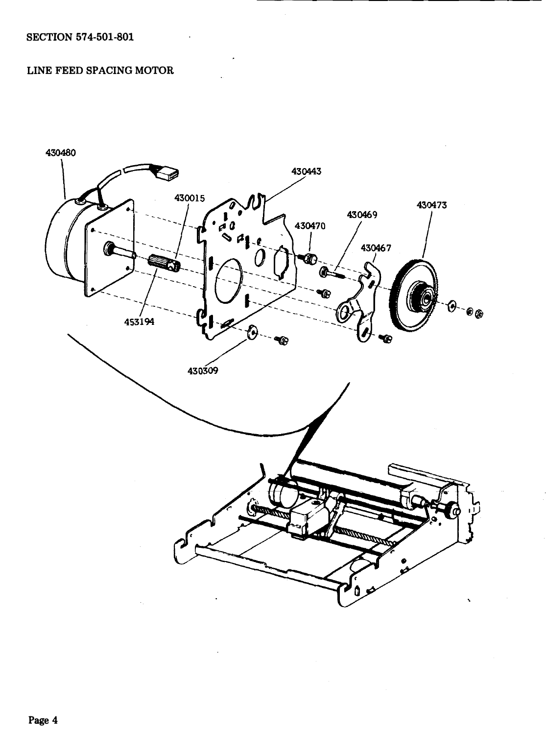# LINE FEED SPACING MOTOR

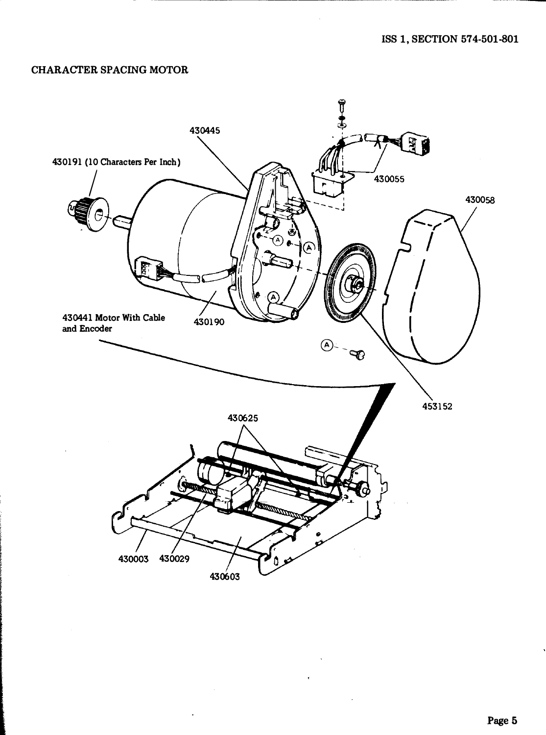# **CHARACTER SPACING MOTOR**

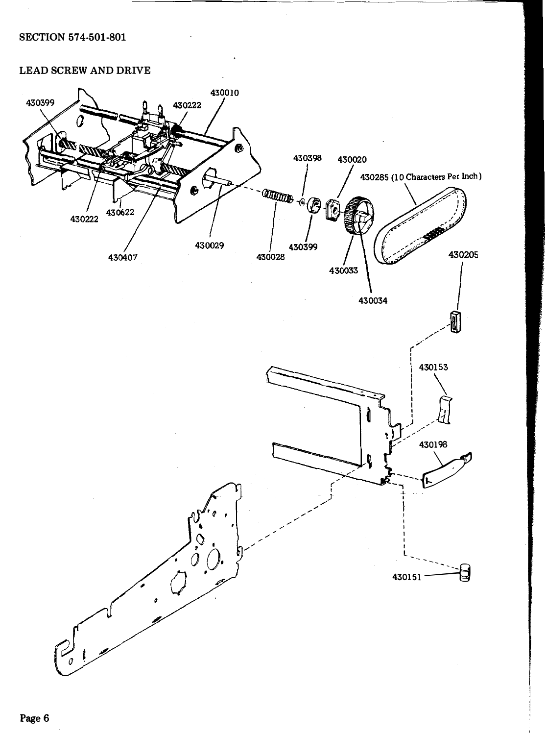## **LEAD SCREW AND DRIVE**

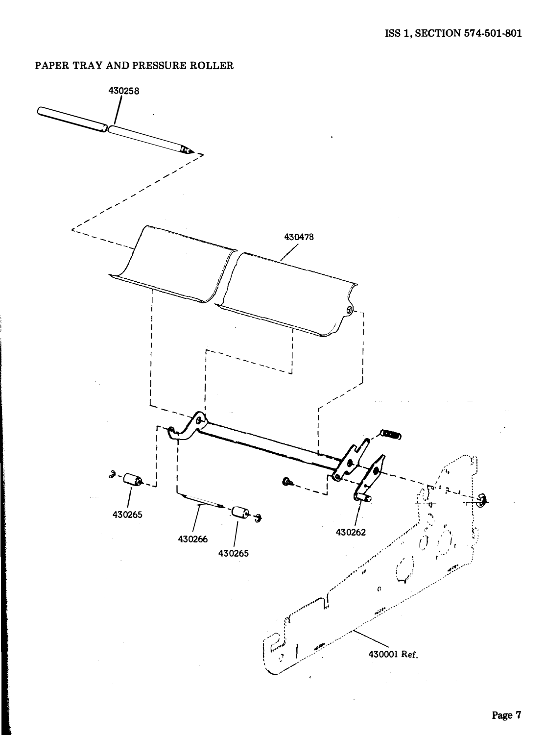# PAPER TRAY AND PRESSURE ROLLER

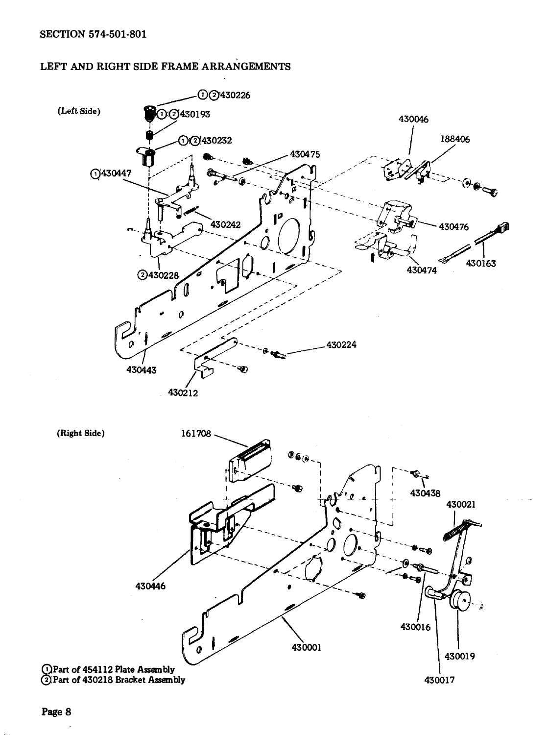## LEFT AND RIGHT SIDE FRAME ARRANGEMENTS



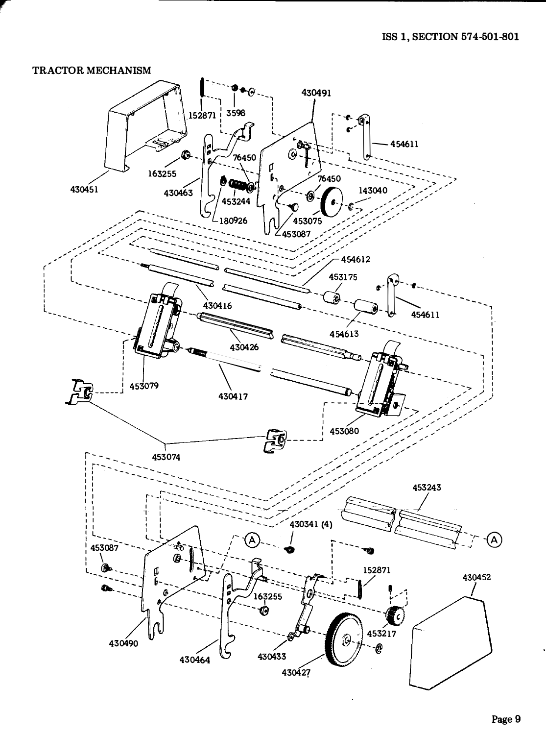